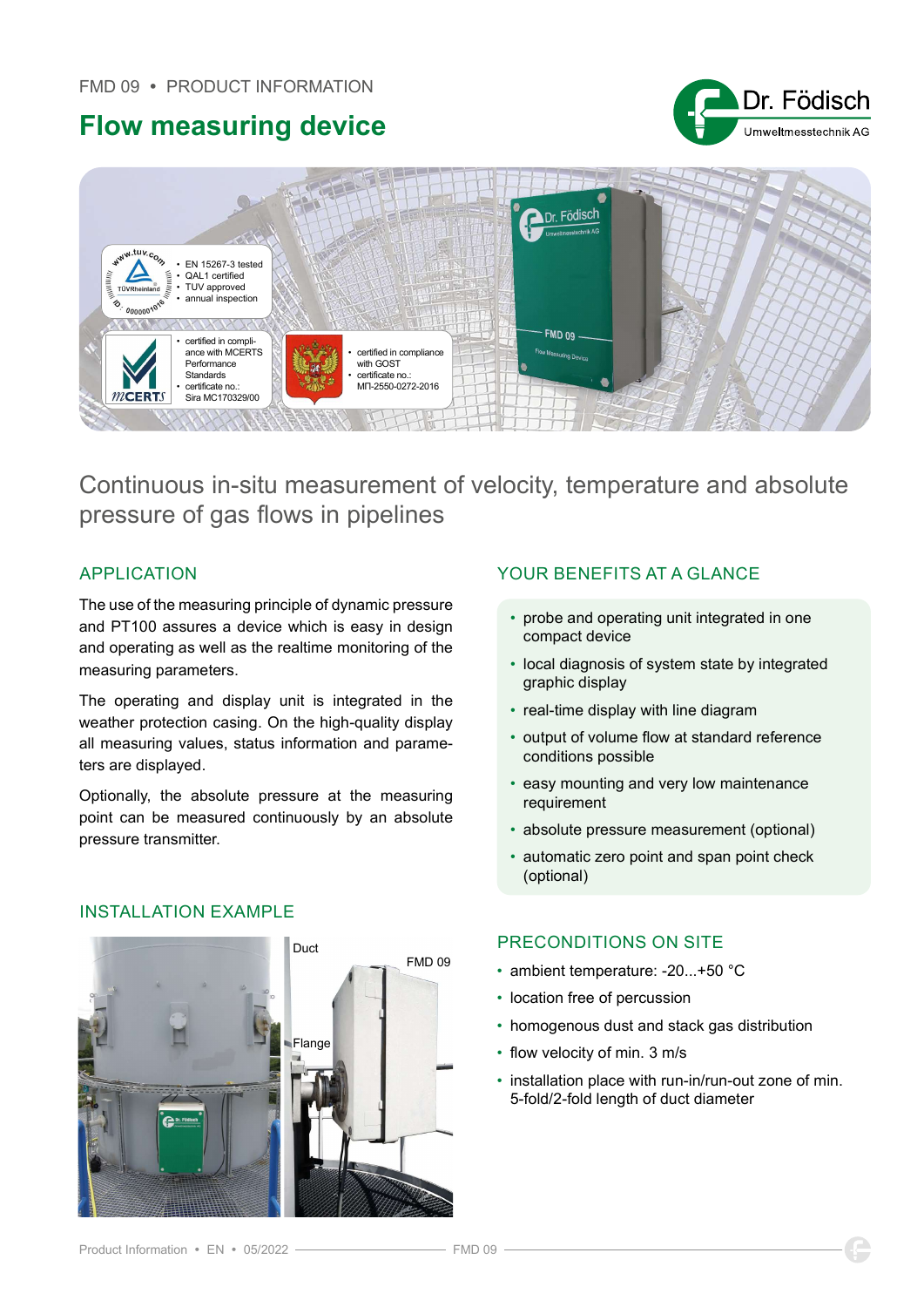## Flow measuring device





Continuous in-situ measurement of velocity, temperature and absolute pressure of gas flows in pipelines

The use of the measuring principle of dynamic pressure and PT100 assures a device which is easy in design and operating as well as the realtime monitoring of the measuring parameters.

The operating and display unit is integrated in the weather protection casing. On the high-quality display all measuring values, status information and parameters are displayed.

Optionally, the absolute pressure at the measuring point can be measured continuously by an absolute pressure transmitter.

# FMD 09 Duct Flange

### APPLICATION YOUR BENEFITS AT A GLANCE

- probe and operating unit integrated in one compact device
- local diagnosis of system state by integrated graphic display
- real-time display with line diagram
- output of volume flow at standard reference conditions possible
- easy mounting and very low maintenance requirement
- absolute pressure measurement (optional)
- automatic zero point and span point check (optional)

#### PRECONDITIONS ON SITE

- ambient temperature: -20...+50 °C
- location free of percussion
- homogenous dust and stack gas distribution
- flow velocity of min. 3 m/s
- installation place with run-in/run-out zone of min. 5-fold/2-fold length of duct diameter

#### Product Information · EN · 05/2022 ·

INSTALLATION EXAMPLE